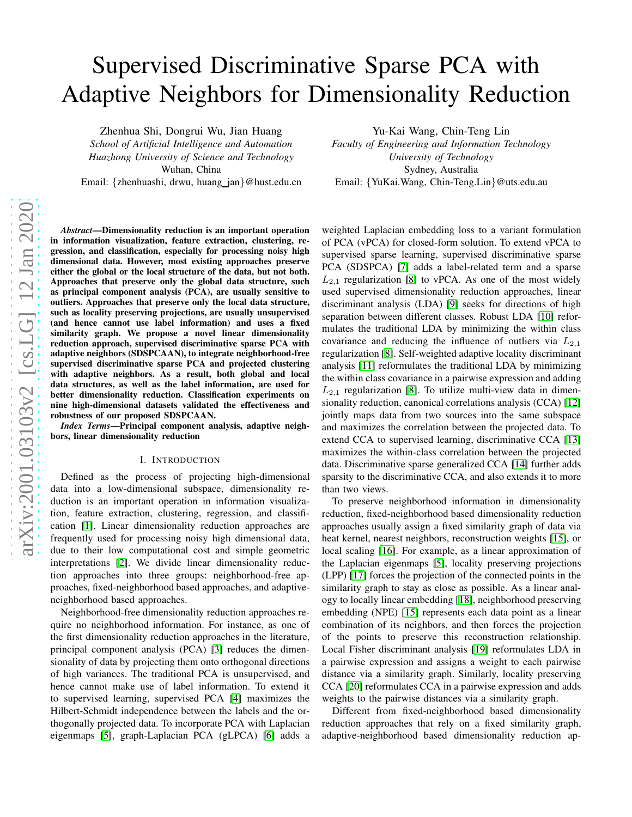# arXiv:2001.03103v2 [cs.LG] 12 Jan 2020 [arXiv:2001.03103v2 \[cs.LG\] 12 Jan 2020](http://arxiv.org/abs/2001.03103v2)

# Supervised Discriminative Sparse PCA with Adaptive Neighbors for Dimensionality Reduction

Zhenhua Shi, Dongrui Wu, Jian Huang *School of Artificial Intelligence and Automation Huazhong University of Science and Technology* Wuhan, China

Email: {zhenhuashi, drwu, huang\_jan}@hust.edu.cn

*Abstract*—Dimensionality reduction is an important operation in information visualization, feature extraction, clustering, regression, and classification, especially for processing noisy high dimensional data. However, most existing approaches preserve either the global or the local structure of the data, but not both. Approaches that preserve only the global data structure, such as principal component analysis (PCA), are usually sensitive to outliers. Approaches that preserve only the local data structure, such as locality preserving projections, are usually unsupervised (and hence cannot use label information) and uses a fixed similarity graph. We propose a novel linear dimensionality reduction approach, supervised discriminative sparse PCA with adaptive neighbors (SDSPCAAN), to integrate neighborhood-free supervised discriminative sparse PCA and projected clustering with adaptive neighbors. As a result, both global and local data structures, as well as the label information, are used for better dimensionality reduction. Classification experiments on nine high-dimensional datasets validated the effectiveness and robustness of our proposed SDSPCAAN.

*Index Terms*—Principal component analysis, adaptive neighbors, linear dimensionality reduction

#### I. INTRODUCTION

Defined as the process of projecting high-dimensional data into a low-dimensional subspace, dimensionality reduction is an important operation in information visualization, feature extraction, clustering, regression, and classification [\[1\]](#page-6-0). Linear dimensionality reduction approaches are frequently used for processing noisy high dimensional data, due to their low computational cost and simple geometric interpretations [\[2\]](#page-6-1). We divide linear dimensionality reduction approaches into three groups: neighborhood-free approaches, fixed-neighborhood based approaches, and adaptiveneighborhood based approaches.

Neighborhood-free dimensionality reduction approaches require no neighborhood information. For instance, as one of the first dimensionality reduction approaches in the literature, principal component analysis (PCA) [\[3\]](#page-7-0) reduces the dimensionality of data by projecting them onto orthogonal directions of high variances. The traditional PCA is unsupervised, and hence cannot make use of label information. To extend it to supervised learning, supervised PCA [\[4\]](#page-7-1) maximizes the Hilbert-Schmidt independence between the labels and the orthogonally projected data. To incorporate PCA with Laplacian eigenmaps [\[5\]](#page-7-2), graph-Laplacian PCA (gLPCA) [\[6\]](#page-7-3) adds a Yu-Kai Wang, Chin-Teng Lin

*Faculty of Engineering and Information Technology University of Technology* Sydney, Australia Email: {YuKai.Wang, Chin-Teng.Lin}@uts.edu.au

weighted Laplacian embedding loss to a variant formulation of PCA (vPCA) for closed-form solution. To extend vPCA to supervised sparse learning, supervised discriminative sparse PCA (SDSPCA) [\[7\]](#page-7-4) adds a label-related term and a sparse  $L_{2,1}$  regularization [\[8\]](#page-7-5) to vPCA. As one of the most widely used supervised dimensionality reduction approaches, linear discriminant analysis (LDA) [\[9\]](#page-7-6) seeks for directions of high separation between different classes. Robust LDA [\[10\]](#page-7-7) reformulates the traditional LDA by minimizing the within class covariance and reducing the influence of outliers via  $L_{2,1}$ regularization [\[8\]](#page-7-5). Self-weighted adaptive locality discriminant analysis [\[11\]](#page-7-8) reformulates the traditional LDA by minimizing the within class covariance in a pairwise expression and adding  $L_{2,1}$  regularization [\[8\]](#page-7-5). To utilize multi-view data in dimensionality reduction, canonical correlations analysis (CCA) [\[12\]](#page-7-9) jointly maps data from two sources into the same subspace and maximizes the correlation between the projected data. To extend CCA to supervised learning, discriminative CCA [\[13\]](#page-7-10) maximizes the within-class correlation between the projected data. Discriminative sparse generalized CCA [\[14\]](#page-7-11) further adds sparsity to the discriminative CCA, and also extends it to more than two views.

To preserve neighborhood information in dimensionality reduction, fixed-neighborhood based dimensionality reduction approaches usually assign a fixed similarity graph of data via heat kernel, nearest neighbors, reconstruction weights [\[15\]](#page-7-12), or local scaling [\[16\]](#page-7-13). For example, as a linear approximation of the Laplacian eigenmaps [\[5\]](#page-7-2), locality preserving projections (LPP) [\[17\]](#page-7-14) forces the projection of the connected points in the similarity graph to stay as close as possible. As a linear analogy to locally linear embedding [\[18\]](#page-7-15), neighborhood preserving embedding (NPE) [\[15\]](#page-7-12) represents each data point as a linear combination of its neighbors, and then forces the projection of the points to preserve this reconstruction relationship. Local Fisher discriminant analysis [\[19\]](#page-7-16) reformulates LDA in a pairwise expression and assigns a weight to each pairwise distance via a similarity graph. Similarly, locality preserving CCA [\[20\]](#page-7-17) reformulates CCA in a pairwise expression and adds weights to the pairwise distances via a similarity graph.

Different from fixed-neighborhood based dimensionality reduction approaches that rely on a fixed similarity graph, adaptive-neighborhood based dimensionality reduction ap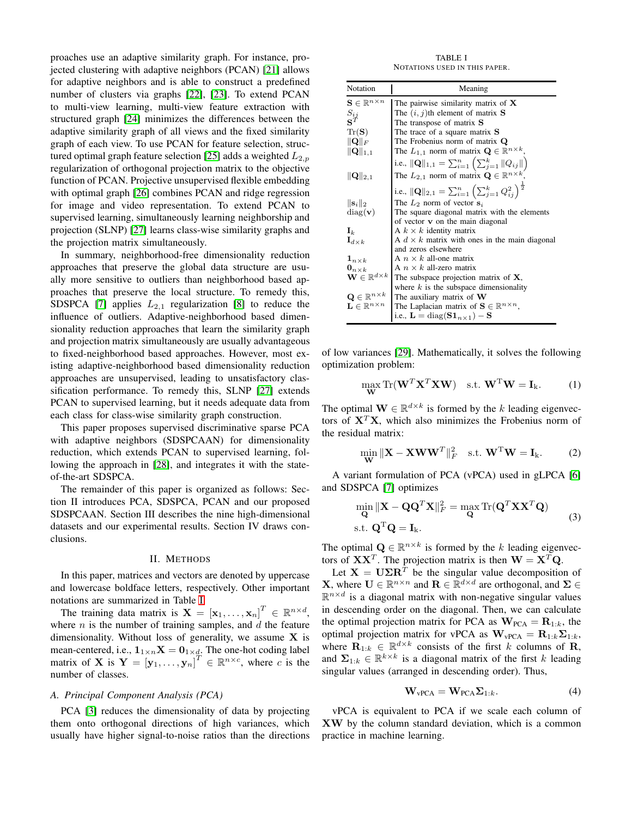proaches use an adaptive similarity graph. For instance, projected clustering with adaptive neighbors (PCAN) [\[21\]](#page-7-18) allows for adaptive neighbors and is able to construct a predefined number of clusters via graphs [\[22\]](#page-7-19), [\[23\]](#page-7-20). To extend PCAN to multi-view learning, multi-view feature extraction with structured graph [\[24\]](#page-7-21) minimizes the differences between the adaptive similarity graph of all views and the fixed similarity graph of each view. To use PCAN for feature selection, struc-tured optimal graph feature selection [\[25\]](#page-7-22) adds a weighted  $L_{2,p}$ regularization of orthogonal projection matrix to the objective function of PCAN. Projective unsupervised flexible embedding with optimal graph [\[26\]](#page-7-23) combines PCAN and ridge regression for image and video representation. To extend PCAN to supervised learning, simultaneously learning neighborship and projection (SLNP) [\[27\]](#page-7-24) learns class-wise similarity graphs and the projection matrix simultaneously.

In summary, neighborhood-free dimensionality reduction approaches that preserve the global data structure are usually more sensitive to outliers than neighborhood based approaches that preserve the local structure. To remedy this, SDSPCA [\[7\]](#page-7-4) applies  $L_{2,1}$  regularization [\[8\]](#page-7-5) to reduce the influence of outliers. Adaptive-neighborhood based dimensionality reduction approaches that learn the similarity graph and projection matrix simultaneously are usually advantageous to fixed-neighborhood based approaches. However, most existing adaptive-neighborhood based dimensionality reduction approaches are unsupervised, leading to unsatisfactory classification performance. To remedy this, SLNP [\[27\]](#page-7-24) extends PCAN to supervised learning, but it needs adequate data from each class for class-wise similarity graph construction.

This paper proposes supervised discriminative sparse PCA with adaptive neighbors (SDSPCAAN) for dimensionality reduction, which extends PCAN to supervised learning, following the approach in [\[28\]](#page-7-25), and integrates it with the stateof-the-art SDSPCA.

The remainder of this paper is organized as follows: Section II introduces PCA, SDSPCA, PCAN and our proposed SDSPCAAN. Section III describes the nine high-dimensional datasets and our experimental results. Section IV draws conclusions.

#### II. METHODS

In this paper, matrices and vectors are denoted by uppercase and lowercase boldface letters, respectively. Other important notations are summarized in Table [I.](#page-1-0)

The training data matrix is  $\mathbf{X} = [\mathbf{x}_1, \dots, \mathbf{x}_n]^T \in \mathbb{R}^{n \times d}$ , where  $n$  is the number of training samples, and  $d$  the feature dimensionality. Without loss of generality, we assume  $X$  is mean-centered, i.e.,  $\mathbf{1}_{1 \times n} \mathbf{X} = \mathbf{0}_{1 \times d}$ . The one-hot coding label matrix of **X** is  $Y = [y_1, ..., y_n]^T \in \mathbb{R}^{n \times c}$ , where c is the number of classes.

#### <span id="page-1-1"></span>*A. Principal Component Analysis (PCA)*

PCA [\[3\]](#page-7-0) reduces the dimensionality of data by projecting them onto orthogonal directions of high variances, which usually have higher signal-to-noise ratios than the directions

TABLE I NOTATIONS USED IN THIS PAPER.

<span id="page-1-0"></span>

| Notation                                 | Meaning                                                                                            |  |  |  |
|------------------------------------------|----------------------------------------------------------------------------------------------------|--|--|--|
| $\mathbf{S} \in \mathbb{R}^{n \times n}$ | The pairwise similarity matrix of $X$                                                              |  |  |  |
| $S_{ij}$                                 | The $(i, j)$ th element of matrix <b>S</b>                                                         |  |  |  |
|                                          | The transpose of matrix S                                                                          |  |  |  |
| $\text{Tr}(\mathbf{S})$                  | The trace of a square matrix <b>S</b>                                                              |  |  |  |
| $\ \mathbf{Q}\ _F$                       | The Frobenius norm of matrix Q                                                                     |  |  |  |
| $\ \mathbf{Q}\ _{1,1}$                   | The $L_{1,1}$ norm of matrix $\mathbf{Q} \in \mathbb{R}^{n \times k}$                              |  |  |  |
|                                          | i.e., $\ \mathbf{Q}\ _{1,1} = \sum_{i=1}^{n} (\sum_{j=1}^{k} \ Q_{ij}\ )$                          |  |  |  |
| $\ \mathbf{Q}\ _{2,1}$                   | The $L_{2,1}$ norm of matrix $\mathbf{Q} \in \mathbb{R}^{n \times k}$                              |  |  |  |
|                                          | i.e., $\ \mathbf{Q}\ _{2,1} = \sum_{i=1}^{n} \left( \sum_{j=1}^{k} Q_{ij}^2 \right)^{\frac{1}{2}}$ |  |  |  |
| $\ \mathbf{s}_i\ _2$                     | The $L_2$ norm of vector $s_i$                                                                     |  |  |  |
| diag(v)                                  | The square diagonal matrix with the elements                                                       |  |  |  |
|                                          | of vector $\bf{v}$ on the main diagonal                                                            |  |  |  |
| $\mathbf{I}_k$                           | A $k \times k$ identity matrix                                                                     |  |  |  |
| $\mathbf{I}_{d\times k}$                 | A $d \times k$ matrix with ones in the main diagonal                                               |  |  |  |
|                                          | and zeros elsewhere                                                                                |  |  |  |
| $\mathbf{1}_{n\times k}$                 | A $n \times k$ all-one matrix                                                                      |  |  |  |
| $\mathbf{0}_{n\times k}$                 | A $n \times k$ all-zero matrix                                                                     |  |  |  |
| $\mathbf{W} \in \mathbb{R}^{d \times k}$ | The subspace projection matrix of $X$ ,                                                            |  |  |  |
|                                          | where $k$ is the subspace dimensionality                                                           |  |  |  |
| $\mathbf{Q} \in \mathbb{R}^{n \times k}$ | The auxiliary matrix of $W$                                                                        |  |  |  |
| $\mathbf{L} \in \mathbb{R}^{n \times n}$ | The Laplacian matrix of $\mathbf{S} \in \mathbb{R}^{n \times n}$ ,                                 |  |  |  |
|                                          | i.e., $\mathbf{L} = \text{diag}(\mathbf{S} \mathbf{1}_{n \times 1}) - \mathbf{S}$                  |  |  |  |

of low variances [\[29\]](#page-7-26). Mathematically, it solves the following optimization problem:

$$
\max_{\mathbf{W}} \text{Tr}(\mathbf{W}^T \mathbf{X}^T \mathbf{X} \mathbf{W}) \quad \text{s.t. } \mathbf{W}^T \mathbf{W} = \mathbf{I}_k. \tag{1}
$$

The optimal  $\mathbf{W} \in \mathbb{R}^{d \times k}$  is formed by the k leading eigenvectors of  $X<sup>T</sup>X$ , which also minimizes the Frobenius norm of the residual matrix:

$$
\min_{\mathbf{W}} \|\mathbf{X} - \mathbf{X} \mathbf{W} \mathbf{W}^T\|_F^2 \quad \text{s.t. } \mathbf{W}^{\mathrm{T}} \mathbf{W} = \mathbf{I}_{k}. \tag{2}
$$

A variant formulation of PCA (vPCA) used in gLPCA [\[6\]](#page-7-3) and SDSPCA [\[7\]](#page-7-4) optimizes

$$
\min_{\mathbf{Q}} \|\mathbf{X} - \mathbf{Q}\mathbf{Q}^T\mathbf{X}\|_F^2 = \max_{\mathbf{Q}} \text{Tr}(\mathbf{Q}^T\mathbf{X}\mathbf{X}^T\mathbf{Q})
$$
  
s.t.  $\mathbf{Q}^T\mathbf{Q} = \mathbf{I}_k$ . (3)

The optimal  $\mathbf{Q} \in \mathbb{R}^{n \times k}$  is formed by the k leading eigenvectors of  $\mathbf{X}\mathbf{X}^T$ . The projection matrix is then  $\mathbf{W} = \mathbf{X}^T\mathbf{Q}$ .

Let  $X = U\Sigma R^{T}$  be the singular value decomposition of **X**, where  $\mathbf{U} \in \mathbb{R}^{n \times n}$  and  $\mathbf{R} \in \mathbb{R}^{d \times d}$  are orthogonal, and  $\mathbf{\Sigma} \in$  $\mathbb{R}^{n \times d}$  is a diagonal matrix with non-negative singular values in descending order on the diagonal. Then, we can calculate the optimal projection matrix for PCA as  $\mathbf{W}_{PCA} = \mathbf{R}_{1:k}$ , the optimal projection matrix for vPCA as  $\mathbf{W}_{\text{vPCA}} = \mathbf{R}_{1:k}\mathbf{\Sigma}_{1:k}$ , where  $\mathbf{R}_{1:k} \in \mathbb{R}^{d \times k}$  consists of the first k columns of **R**, and  $\Sigma_{1:k} \in \mathbb{R}^{k \times k}$  is a diagonal matrix of the first k leading singular values (arranged in descending order). Thus,

$$
\mathbf{W}_{\text{vPCA}} = \mathbf{W}_{\text{PCA}} \Sigma_{1:k}.
$$
 (4)

vPCA is equivalent to PCA if we scale each column of XW by the column standard deviation, which is a common practice in machine learning.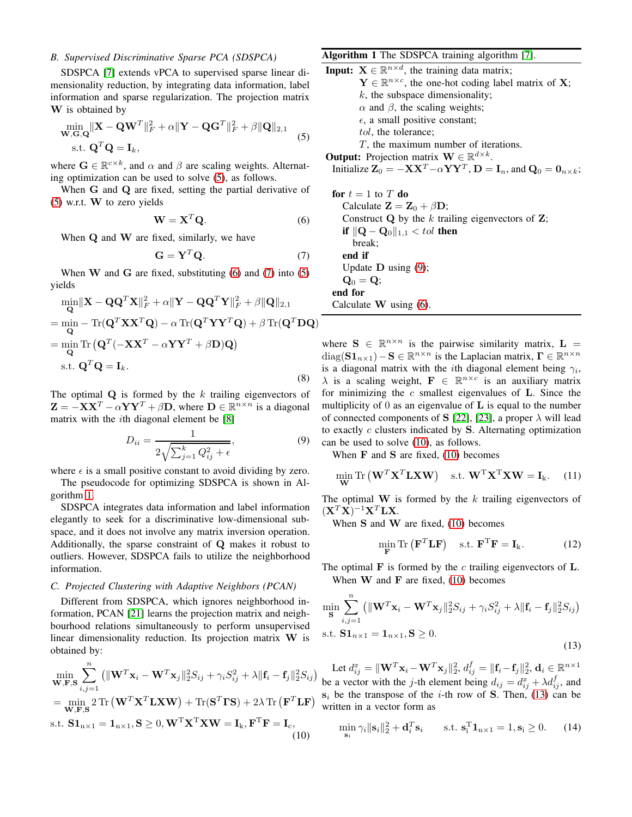# <span id="page-2-9"></span>*B. Supervised Discriminative Sparse PCA (SDSPCA)*

SDSPCA [\[7\]](#page-7-4) extends vPCA to supervised sparse linear dimensionality reduction, by integrating data information, label information and sparse regularization. The projection matrix W is obtained by

$$
\min_{\mathbf{W}, \mathbf{G}, \mathbf{Q}} \|\mathbf{X} - \mathbf{Q}\mathbf{W}^T\|_F^2 + \alpha \|\mathbf{Y} - \mathbf{Q}\mathbf{G}^T\|_F^2 + \beta \|\mathbf{Q}\|_{2,1}
$$
  
s.t.  $\mathbf{Q}^T \mathbf{Q} = \mathbf{I}_k$ , (5)

where  $\mathbf{G} \in \mathbb{R}^{c \times k}$ , and  $\alpha$  and  $\beta$  are scaling weights. Alternating optimization can be used to solve [\(5\)](#page-2-0), as follows.

When G and Q are fixed, setting the partial derivative of [\(5\)](#page-2-0) w.r.t. W to zero yields

$$
\mathbf{W} = \mathbf{X}^T \mathbf{Q}.
$$
 (6)

When Q and W are fixed, similarly, we have

$$
\mathbf{G} = \mathbf{Y}^T \mathbf{Q}.\tag{7}
$$

When  $W$  and  $G$  are fixed, substituting [\(6\)](#page-2-1) and [\(7\)](#page-2-2) into [\(5\)](#page-2-0) yields

$$
\min_{\mathbf{Q}} \|\mathbf{X} - \mathbf{Q}\mathbf{Q}^T\mathbf{X}\|_F^2 + \alpha \|\mathbf{Y} - \mathbf{Q}\mathbf{Q}^T\mathbf{Y}\|_F^2 + \beta \|\mathbf{Q}\|_{2,1}
$$
\n
$$
= \min_{\mathbf{Q}} - \text{Tr}(\mathbf{Q}^T\mathbf{X}\mathbf{X}^T\mathbf{Q}) - \alpha \text{Tr}(\mathbf{Q}^T\mathbf{Y}\mathbf{Y}^T\mathbf{Q}) + \beta \text{Tr}(\mathbf{Q}^T\mathbf{D}\mathbf{Q})
$$
\n
$$
= \min_{\mathbf{Q}} \text{Tr}(\mathbf{Q}^T(-\mathbf{X}\mathbf{X}^T - \alpha\mathbf{Y}\mathbf{Y}^T + \beta \mathbf{D})\mathbf{Q})
$$
\n
$$
\text{s.t. } \mathbf{Q}^T\mathbf{Q} = \mathbf{I}_k. \tag{8}
$$

The optimal  $Q$  is formed by the k trailing eigenvectors of  $\mathbf{Z} = -\mathbf{X}\mathbf{X}^T - \alpha \mathbf{Y}\mathbf{Y}^T + \beta \mathbf{D}$ , where  $\mathbf{D} \in \mathbb{R}^{n \times n}$  is a diagonal matrix with the *i*th diagonal element be [\[8\]](#page-7-5)

$$
D_{ii} = \frac{1}{2\sqrt{\sum_{j=1}^{k} Q_{ij}^2 + \epsilon}},\tag{9}
$$

where  $\epsilon$  is a small positive constant to avoid dividing by zero.

The pseudocode for optimizing SDSPCA is shown in Algorithm [1.](#page-2-3)

SDSPCA integrates data information and label information elegantly to seek for a discriminative low-dimensional subspace, and it does not involve any matrix inversion operation. Additionally, the sparse constraint of Q makes it robust to outliers. However, SDSPCA fails to utilize the neighborhood information.

# *C. Projected Clustering with Adaptive Neighbors (PCAN)*

Different from SDSPCA, which ignores neighborhood information, PCAN [\[21\]](#page-7-18) learns the projection matrix and neighbourhood relations simultaneously to perform unsupervised linear dimensionality reduction. Its projection matrix W is obtained by:

$$
\min_{\mathbf{W}, \mathbf{F}, \mathbf{S}} \sum_{i,j=1}^{n} \left( \|\mathbf{W}^{T}\mathbf{x}_{i} - \mathbf{W}^{T}\mathbf{x}_{j}\|_{2}^{2} S_{ij} + \gamma_{i} S_{ij}^{2} + \lambda \|\mathbf{f}_{i} - \mathbf{f}_{j}\|_{2}^{2} S_{ij} \right)
$$
\n
$$
= \min_{\mathbf{W}, \mathbf{F}, \mathbf{S}} 2 \operatorname{Tr} \left( \mathbf{W}^{T} \mathbf{X}^{T} \mathbf{L} \mathbf{X} \mathbf{W} \right) + \operatorname{Tr}(\mathbf{S}^{T} \mathbf{\Gamma} \mathbf{S}) + 2\lambda \operatorname{Tr} \left( \mathbf{F}^{T} \mathbf{L} \mathbf{F} \right)
$$
\ns.t.  $\mathbf{S} \mathbf{1}_{n \times 1} = \mathbf{1}_{n \times 1}, \mathbf{S} \geq 0, \mathbf{W}^{T} \mathbf{X}^{T} \mathbf{X} \mathbf{W} = \mathbf{I}_{k}, \mathbf{F}^{T} \mathbf{F} = \mathbf{I}_{c},$ \n(10)

# <span id="page-2-3"></span>Algorithm 1 The SDSPCA training algorithm [\[7\]](#page-7-4).

<span id="page-2-0"></span>**Input:**  $X \in \mathbb{R}^{n \times d}$ , the training data matrix;  $\mathbf{Y} \in \mathbb{R}^{n \times c}$ , the one-hot coding label matrix of **X**;  $k$ , the subspace dimensionality;  $\alpha$  and  $\beta$ , the scaling weights;  $\epsilon$ , a small positive constant; tol, the tolerance;  $T$ , the maximum number of iterations. **Output:** Projection matrix  $\mathbf{W} \in \mathbb{R}^{d \times k}$ . Initialize  $\mathbf{Z}_0 = -\mathbf{X}\mathbf{X}^T - \alpha \mathbf{Y}\mathbf{Y}^T$ ,  $\mathbf{D} = \mathbf{I}_n$ , and  $\mathbf{Q}_0 = \mathbf{0}_{n \times k}$ ; for  $t = 1$  to T do Calculate  $\mathbf{Z} = \mathbf{Z}_0 + \beta \mathbf{D}$ ;

<span id="page-2-2"></span><span id="page-2-1"></span>Construct  $Q$  by the k trailing eigenvectors of  $Z$ ; **if**  $||\mathbf{Q} - \mathbf{Q}_0||_{1,1}$  < tol then break; end if Update  $D$  using  $(9)$ ;  $\mathbf{Q}_0 = \mathbf{Q};$ end for Calculate W using [\(6\)](#page-2-1).

<span id="page-2-8"></span>where  $S \in \mathbb{R}^{n \times n}$  is the pairwise similarity matrix,  $L =$ diag( $\mathbf{S1}_{n\times1}$ ) –  $\mathbf{S} \in \mathbb{R}^{n\times n}$  is the Laplacian matrix,  $\mathbf{\Gamma} \in \mathbb{R}^{n\times n}$ is a diagonal matrix with the *i*th diagonal element being  $\gamma_i$ ,  $\lambda$  is a scaling weight,  $\mathbf{F} \in \mathbb{R}^{n \times c}$  is an auxiliary matrix for minimizing the  $c$  smallest eigenvalues of  $L$ . Since the multiplicity of  $\theta$  as an eigenvalue of  $\bf{L}$  is equal to the number of connected components of S [\[22\]](#page-7-19), [\[23\]](#page-7-20), a proper  $\lambda$  will lead to exactly  $c$  clusters indicated by  $S$ . Alternating optimization can be used to solve [\(10\)](#page-2-5), as follows.

<span id="page-2-4"></span>When  $\bf{F}$  and  $\bf{S}$  are fixed, [\(10\)](#page-2-5) becomes

$$
\min_{\mathbf{W}} \text{Tr}\left(\mathbf{W}^T \mathbf{X}^T \mathbf{L} \mathbf{X} \mathbf{W}\right) \quad \text{s.t. } \mathbf{W}^T \mathbf{X}^T \mathbf{X} \mathbf{W} = \mathbf{I}_k. \tag{11}
$$

The optimal  $W$  is formed by the k trailing eigenvectors of  $(\mathbf{X}^T\mathbf{X})^{-1}\mathbf{X}^T\mathbf{L}\mathbf{X}.$ 

When  $S$  and  $W$  are fixed, [\(10\)](#page-2-5) becomes

<span id="page-2-6"></span>
$$
\min_{\mathbf{F}} \text{Tr}\left(\mathbf{F}^T \mathbf{L} \mathbf{F}\right) \quad \text{s.t. } \mathbf{F}^T \mathbf{F} = \mathbf{I}_k. \tag{12}
$$

The optimal  $\bf{F}$  is formed by the c trailing eigenvectors of  $\bf{L}$ . When  $W$  and  $F$  are fixed, [\(10\)](#page-2-5) becomes

$$
\min_{\mathbf{S}} \sum_{i,j=1}^{n} \left( \|\mathbf{W}^T \mathbf{x}_i - \mathbf{W}^T \mathbf{x}_j\|_2^2 S_{ij} + \gamma_i S_{ij}^2 + \lambda \|\mathbf{f}_i - \mathbf{f}_j\|_2^2 S_{ij} \right)
$$
  
s.t.  $\mathbf{S} \mathbf{1}_{n \times 1} = \mathbf{1}_{n \times 1}, \mathbf{S} \ge 0.$  (13)

Let  $d_{ij}^x = \|\mathbf{W}^T \mathbf{x}_i - \mathbf{W}^T \mathbf{x}_j\|_2^2$ ,  $d_{ij}^f = \|\mathbf{f}_i - \mathbf{f}_j\|_2^2$ ,  $\mathbf{d}_i \in \mathbb{R}^{n \times 1}$ be a vector with the j-th element being  $d_{ij} = d_{ij}^x + \lambda d_{ij}^f$ , and  $s_i$  be the transpose of the *i*-th row of S. Then, [\(13\)](#page-2-6) can be written in a vector form as

<span id="page-2-7"></span><span id="page-2-5"></span>
$$
\min_{\mathbf{s}_i} \gamma_i \|\mathbf{s}_i\|_2^2 + \mathbf{d}_i^T \mathbf{s}_i \qquad \text{s.t. } \mathbf{s}_i^T \mathbf{1}_{n \times 1} = 1, \mathbf{s}_i \ge 0. \tag{14}
$$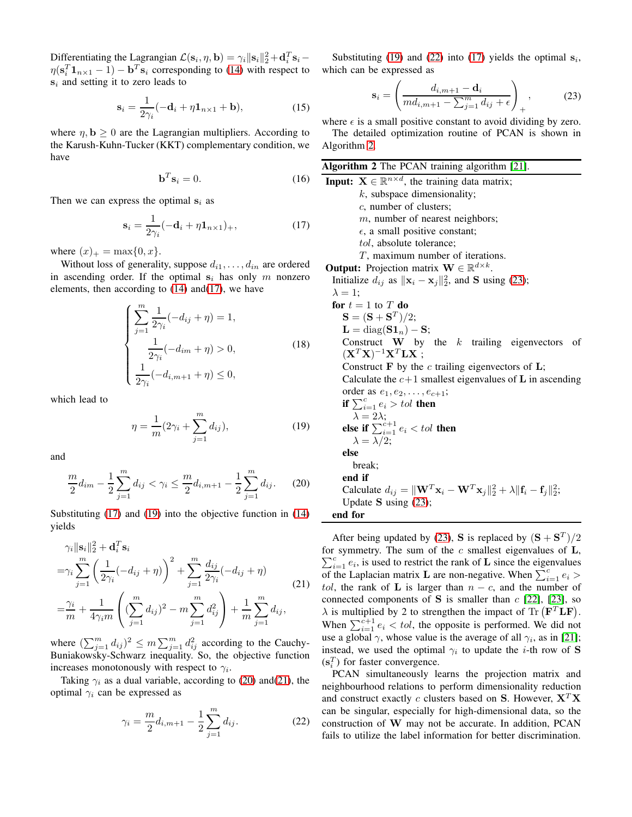Differentiating the Lagrangian  $\mathcal{L}(\mathbf{s}_i, \eta, \mathbf{b}) = \gamma_i ||\mathbf{s}_i||_2^2 + \mathbf{d}_i^T \mathbf{s}_i \eta(\mathbf{s}_i^T \mathbf{1}_{n \times 1} - 1) - \mathbf{b}^T \mathbf{s}_i$  corresponding to [\(14\)](#page-2-7) with respect to  $s_i$  and setting it to zero leads to

$$
\mathbf{s}_{i} = \frac{1}{2\gamma_{i}}(-\mathbf{d}_{i} + \eta \mathbf{1}_{n \times 1} + \mathbf{b}), \qquad (15)
$$

where  $\eta$ ,  $\mathbf{b} \geq 0$  are the Lagrangian multipliers. According to the Karush-Kuhn-Tucker (KKT) complementary condition, we have

$$
\mathbf{b}^T \mathbf{s}_i = 0. \tag{16}
$$

Then we can express the optimal  $s_i$  as

$$
\mathbf{s}_{i} = \frac{1}{2\gamma_{i}}(-\mathbf{d}_{i} + \eta \mathbf{1}_{n \times 1})_{+},\tag{17}
$$

where  $(x)_{+} = \max\{0, x\}.$ 

Without loss of generality, suppose  $d_{i1}, \ldots, d_{in}$  are ordered in ascending order. If the optimal  $s_i$  has only m nonzero elements, then according to  $(14)$  and $(17)$ , we have

$$
\begin{cases}\n\sum_{j=1}^{m} \frac{1}{2\gamma_i} (-d_{ij} + \eta) = 1, \\
\frac{1}{2\gamma_i} (-d_{im} + \eta) > 0, \\
\frac{1}{2\gamma_i} (-d_{i,m+1} + \eta) \le 0,\n\end{cases}
$$
\n(18)

which lead to

$$
\eta = \frac{1}{m} (2\gamma_i + \sum_{j=1}^{m} d_{ij}),
$$
\n(19)

and

$$
\frac{m}{2}d_{im} - \frac{1}{2}\sum_{j=1}^{m} d_{ij} < \gamma_i \le \frac{m}{2}d_{i,m+1} - \frac{1}{2}\sum_{j=1}^{m} d_{ij}.\tag{20}
$$

Substituting [\(17\)](#page-3-0) and [\(19\)](#page-3-1) into the objective function in [\(14\)](#page-2-7) yields

$$
\gamma_i \|\mathbf{s}_i\|_2^2 + \mathbf{d}_i^T \mathbf{s}_i
$$
  
= $\gamma_i \sum_{j=1}^m \left( \frac{1}{2\gamma_i} (-d_{ij} + \eta) \right)^2 + \sum_{j=1}^m \frac{d_{ij}}{2\gamma_i} (-d_{ij} + \eta)$   
= $\frac{\gamma_i}{m} + \frac{1}{4\gamma_i m} \left( (\sum_{j=1}^m d_{ij})^2 - m \sum_{j=1}^m d_{ij}^2 \right) + \frac{1}{m} \sum_{j=1}^m d_{ij},$  (21)

where  $(\sum_{j=1}^m d_{ij})^2 \le m \sum_{j=1}^m d_{ij}^2$  according to the Cauchy-Buniakowsky-Schwarz inequality. So, the objective function increases monotonously with respect to  $\gamma_i$ .

Taking  $\gamma_i$  as a dual variable, according to [\(20\)](#page-3-2) and[\(21\)](#page-3-3), the optimal  $\gamma_i$  can be expressed as

$$
\gamma_i = \frac{m}{2} d_{i,m+1} - \frac{1}{2} \sum_{j=1}^m d_{ij}.
$$
 (22)

Substituting [\(19\)](#page-3-1) and [\(22\)](#page-3-4) into [\(17\)](#page-3-0) yields the optimal  $s_i$ , which can be expressed as

<span id="page-3-6"></span>
$$
\mathbf{s}_{i} = \left(\frac{d_{i,m+1} - \mathbf{d}_{i}}{md_{i,m+1} - \sum_{j=1}^{m} d_{ij} + \epsilon}\right)_{+},
$$
 (23)

where  $\epsilon$  is a small positive constant to avoid dividing by zero. The detailed optimization routine of PCAN is shown in Algorithm [2.](#page-3-5)

<span id="page-3-5"></span><span id="page-3-0"></span>

| Algorithm 2 The PCAN training algorithm [21].                                                                                      |
|------------------------------------------------------------------------------------------------------------------------------------|
| <b>Input:</b> $X \in \mathbb{R}^{n \times d}$ , the training data matrix;                                                          |
| $k$ , subspace dimensionality;                                                                                                     |
| c, number of clusters;                                                                                                             |
| $m$ , number of nearest neighbors;                                                                                                 |
| $\epsilon$ , a small positive constant;                                                                                            |
| <i>tol</i> , absolute tolerance;                                                                                                   |
| $T$ , maximum number of iterations.                                                                                                |
| <b>Output:</b> Projection matrix $\mathbf{W} \in \mathbb{R}^{d \times k}$ .                                                        |
| Initialize $d_{ij}$ as $\ \mathbf{x}_i - \mathbf{x}_j\ _2^2$ , and <b>S</b> using (23);                                            |
| $\lambda = 1$ ;                                                                                                                    |
| for $t=1$ to T do                                                                                                                  |
| $S = (S + S^{T})/2;$                                                                                                               |
| $\mathbf{L} = \text{diag}(\mathbf{S} \mathbf{1}_n) - \mathbf{S};$                                                                  |
| Construct $W$ by the $k$ trailing eigenvectors<br>- of                                                                             |
| $(\mathbf{X}^T \mathbf{X})^{-1} \mathbf{X}^T \mathbf{L} \mathbf{X}$ ;                                                              |
| Construct $\bf{F}$ by the c trailing eigenvectors of $\bf{L}$ ;                                                                    |
| Calculate the $c+1$ smallest eigenvalues of <b>L</b> in ascending                                                                  |
| order as $e_1, e_2, \ldots, e_{c+1}$ ;                                                                                             |
| if $\sum_{i=1}^{c} e_i > tol$ then                                                                                                 |
| $\begin{array}{c} \lambda=2\lambda;\\ \mbox{else if } \sum_{i=1}^{c+1}e_i$                                                         |
|                                                                                                                                    |
| $\lambda = \lambda/2;$                                                                                                             |
| else                                                                                                                               |
| break;                                                                                                                             |
| end if                                                                                                                             |
| Calculate $d_{ij} =   \mathbf{W}^T \mathbf{x}_i - \mathbf{W}^T \mathbf{x}_j  _2^2 + \lambda   \mathbf{f}_i - \mathbf{f}_i  _2^2$ ; |
| Update S using $(23)$ ;                                                                                                            |
| end for                                                                                                                            |

<span id="page-3-3"></span><span id="page-3-2"></span><span id="page-3-1"></span>After being updated by [\(23\)](#page-3-6), **S** is replaced by  $(S + S<sup>T</sup>)/2$ for symmetry. The sum of the  $c$  smallest eigenvalues of  $\mathbf{L}$ ,  $\sum_{i=1}^{c} e_i$ , is used to restrict the rank of **L** since the eigenvalues of the Laplacian matrix **L** are non-negative. When  $\sum_{i=1}^{c} e_i$  > tol, the rank of **L** is larger than  $n - c$ , and the number of connected components of S is smaller than  $c$  [\[22\]](#page-7-19), [\[23\]](#page-7-20), so  $\lambda$  is multiplied by 2 to strengthen the impact of Tr ( $\mathbf{F}^T \mathbf{L} \mathbf{F}$ ). When  $\sum_{i=1}^{c+1} e_i < tol$ , the opposite is performed. We did not use a global  $\gamma$ , whose value is the average of all  $\gamma_i$ , as in [\[21\]](#page-7-18); instead, we used the optimal  $\gamma_i$  to update the *i*-th row of **S**  $(s_i^T)$  for faster convergence.

<span id="page-3-4"></span>PCAN simultaneously learns the projection matrix and neighbourhood relations to perform dimensionality reduction and construct exactly c clusters based on S. However,  $X^T X$ can be singular, especially for high-dimensional data, so the construction of W may not be accurate. In addition, PCAN fails to utilize the label information for better discrimination.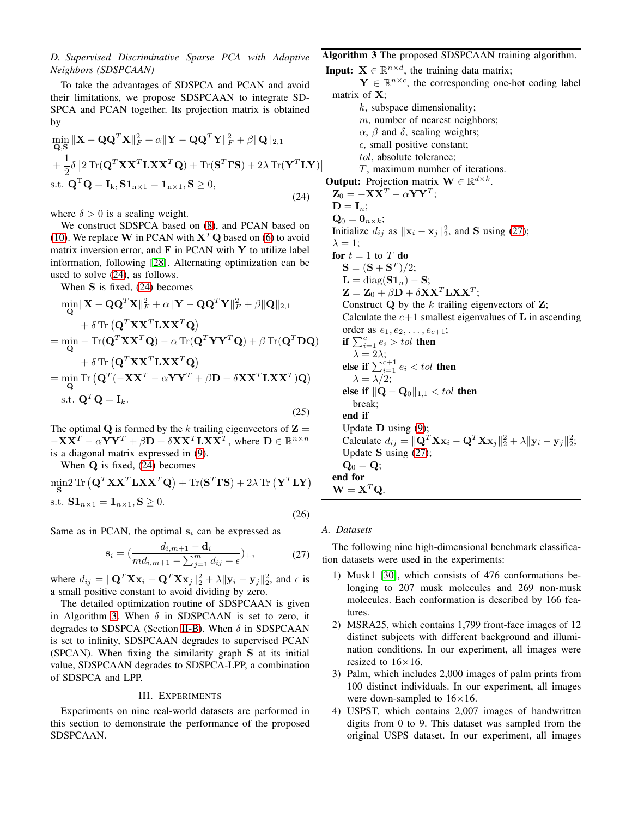# <span id="page-4-3"></span>*D. Supervised Discriminative Sparse PCA with Adaptive Neighbors (SDSPCAAN)*

To take the advantages of SDSPCA and PCAN and avoid their limitations, we propose SDSPCAAN to integrate SD-SPCA and PCAN together. Its projection matrix is obtained by

$$
\min_{\mathbf{Q}, \mathbf{S}} \|\mathbf{X} - \mathbf{Q} \mathbf{Q}^T \mathbf{X}\|_F^2 + \alpha \|\mathbf{Y} - \mathbf{Q} \mathbf{Q}^T \mathbf{Y}\|_F^2 + \beta \|\mathbf{Q}\|_{2,1} \n+ \frac{1}{2} \delta \left[ 2 \operatorname{Tr}(\mathbf{Q}^T \mathbf{X} \mathbf{X}^T \mathbf{L} \mathbf{X} \mathbf{X}^T \mathbf{Q}) + \operatorname{Tr}(\mathbf{S}^T \mathbf{\Gamma} \mathbf{S}) + 2\lambda \operatorname{Tr}(\mathbf{Y}^T \mathbf{L} \mathbf{Y}) \right] \text{s.t. } \mathbf{Q}^T \mathbf{Q} = \mathbf{I}_k, \mathbf{S} \mathbf{1}_{n \times 1} = \mathbf{1}_{n \times 1}, \mathbf{S} \ge 0,
$$
\n(24)

where  $\delta > 0$  is a scaling weight.

We construct SDSPCA based on [\(8\)](#page-2-8), and PCAN based on [\(10\)](#page-2-5). We replace W in PCAN with  $X<sup>T</sup>Q$  based on [\(6\)](#page-2-1) to avoid matrix inversion error, and  $\bf{F}$  in PCAN with  $\bf{Y}$  to utilize label information, following [\[28\]](#page-7-25). Alternating optimization can be used to solve [\(24\)](#page-4-0), as follows.

When S is fixed, [\(24\)](#page-4-0) becomes

$$
\min_{\mathbf{Q}} \|\mathbf{X} - \mathbf{Q}\mathbf{Q}^T\mathbf{X}\|_F^2 + \alpha \|\mathbf{Y} - \mathbf{Q}\mathbf{Q}^T\mathbf{Y}\|_F^2 + \beta \|\mathbf{Q}\|_{2,1} \n+ \delta \operatorname{Tr} (\mathbf{Q}^T \mathbf{X} \mathbf{X}^T \mathbf{L} \mathbf{X} \mathbf{X}^T \mathbf{Q}) \n= \min_{\mathbf{Q}} - \operatorname{Tr} (\mathbf{Q}^T \mathbf{X} \mathbf{X}^T \mathbf{Q}) - \alpha \operatorname{Tr} (\mathbf{Q}^T \mathbf{Y} \mathbf{Y}^T \mathbf{Q}) + \beta \operatorname{Tr} (\mathbf{Q}^T \mathbf{D} \mathbf{Q}) \n+ \delta \operatorname{Tr} (\mathbf{Q}^T \mathbf{X} \mathbf{X}^T \mathbf{L} \mathbf{X} \mathbf{X}^T \mathbf{Q}) \n= \min_{\mathbf{Q}} \operatorname{Tr} (\mathbf{Q}^T (-\mathbf{X} \mathbf{X}^T - \alpha \mathbf{Y} \mathbf{Y}^T + \beta \mathbf{D} + \delta \mathbf{X} \mathbf{X}^T \mathbf{L} \mathbf{X} \mathbf{X}^T) \mathbf{Q}) \n= \operatorname{st.} \mathbf{Q}^T \mathbf{Q} = \mathbf{I}_k.
$$
\n(25)

The optimal Q is formed by the k trailing eigenvectors of  $\mathbf{Z} =$  $-\mathbf{X}\mathbf{X}^T - \alpha \mathbf{Y}\mathbf{Y}^T + \beta \mathbf{D} + \delta \mathbf{X}\mathbf{X}^T \mathbf{L}\mathbf{X}\mathbf{X}^T$ , where  $\mathbf{D} \in \mathbb{R}^{n \times n}$ is a diagonal matrix expressed in [\(9\)](#page-2-4).

When  $Q$  is fixed,  $(24)$  becomes

$$
\min_{\mathbf{S}} 2 \operatorname{Tr} \left( \mathbf{Q}^T \mathbf{X} \mathbf{X}^T \mathbf{L} \mathbf{X} \mathbf{X}^T \mathbf{Q} \right) + \operatorname{Tr}(\mathbf{S}^T \mathbf{\Gamma} \mathbf{S}) + 2\lambda \operatorname{Tr} \left( \mathbf{Y}^T \mathbf{L} \mathbf{Y} \right)
$$
  
s.t.  $\mathbf{S} \mathbf{1}_{n \times 1} = \mathbf{1}_{n \times 1}, \mathbf{S} \ge 0.$  (26)

Same as in PCAN, the optimal  $s_i$  can be expressed as

$$
\mathbf{s}_{i} = (\frac{d_{i,m+1} - \mathbf{d}_{i}}{md_{i,m+1} - \sum_{j=1}^{m} d_{ij} + \epsilon})_{+},
$$
 (27)

where  $d_{ij} = ||\mathbf{Q}^T \mathbf{X} \mathbf{x}_i - \mathbf{Q}^T \mathbf{X} \mathbf{x}_j||_2^2 + \lambda ||\mathbf{y}_i - \mathbf{y}_j||_2^2$ , and  $\epsilon$  is a small positive constant to avoid dividing by zero.

The detailed optimization routine of SDSPCAAN is given in Algorithm [3.](#page-4-1) When  $\delta$  in SDSPCAAN is set to zero, it degrades to SDSPCA (Section [II-B\)](#page-2-9). When  $\delta$  in SDSPCAAN is set to infinity, SDSPCAAN degrades to supervised PCAN (SPCAN). When fixing the similarity graph S at its initial value, SDSPCAAN degrades to SDSPCA-LPP, a combination of SDSPCA and LPP.

#### III. EXPERIMENTS

Experiments on nine real-world datasets are performed in this section to demonstrate the performance of the proposed SDSPCAAN.

# <span id="page-4-1"></span>Algorithm 3 The proposed SDSPCAAN training algorithm.

<span id="page-4-0"></span>**Input:**  $X \in \mathbb{R}^{n \times d}$ , the training data matrix;  $\mathbf{Y} \in \mathbb{R}^{n \times c}$ , the corresponding one-hot coding label matrix of X;  $k$ , subspace dimensionality; m, number of nearest neighbors;  $\alpha$ ,  $\beta$  and  $\delta$ , scaling weights;  $\epsilon$ , small positive constant; tol, absolute tolerance;  $T$ , maximum number of iterations. **Output:** Projection matrix  $\mathbf{W} \in \mathbb{R}^{d \times k}$ .  $\mathbf{Z}_0 = -\mathbf{X}\mathbf{X}^T - \alpha\mathbf{Y}\mathbf{Y}^T;$  $D = I_n;$  $\mathbf{Q}_0 = \mathbf{0}_{n \times k}$ ; Initialize  $d_{ij}$  as  $\|\mathbf{x}_i - \mathbf{x}_j\|_2^2$ , and S using [\(27\)](#page-4-2);  $\lambda = 1;$ for  $t = 1$  to T do  ${\bf S}=({\bf S}+{\bf S}^T)/2;$  $\mathbf{L} = \text{diag}(\mathbf{S} \mathbf{1}_n) - \mathbf{S};$  $\mathbf{Z} = \mathbf{Z}_0 + \beta \mathbf{D} + \delta \mathbf{X} \mathbf{X}^T \mathbf{L} \mathbf{X} \mathbf{X}^T;$ Construct  $Q$  by the k trailing eigenvectors of  $Z$ ; Calculate the  $c+1$  smallest eigenvalues of **L** in ascending order as  $e_1, e_2, \ldots, e_{c+1}$ ; if  $\sum_{i=1}^{c} e_i > tol$  then  $λ = 2λ;$ else if  $\sum_{i=1}^{c+1} e_i < tol$  then  $\lambda = \lambda/2;$ else if  $\|$ Q – Q<sub>0</sub> $\|$ <sub>1,1</sub> < tol then break; end if Update  $D$  using  $(9)$ ; Calculate  $d_{ij} = \|\mathbf{Q}^T \mathbf{X} \mathbf{x}_i - \mathbf{Q}^T \mathbf{X} \mathbf{x}_j\|_2^2 + \lambda \|\mathbf{y}_i - \mathbf{y}_j\|_2^2$ ; Update S using [\(27\)](#page-4-2);  $\mathbf{Q}_0 = \mathbf{Q};$ end for  $\mathbf{W} = \mathbf{X}^T \mathbf{Q}.$ 

#### *A. Datasets*

<span id="page-4-2"></span>The following nine high-dimensional benchmark classification datasets were used in the experiments:

- 1) Musk1 [\[30\]](#page-7-27), which consists of 476 conformations belonging to 207 musk molecules and 269 non-musk molecules. Each conformation is described by 166 features.
- 2) MSRA25, which contains 1,799 front-face images of 12 distinct subjects with different background and illumination conditions. In our experiment, all images were resized to  $16\times16$ .
- 3) Palm, which includes 2,000 images of palm prints from 100 distinct individuals. In our experiment, all images were down-sampled to  $16\times16$ .
- 4) USPST, which contains 2,007 images of handwritten digits from 0 to 9. This dataset was sampled from the original USPS dataset. In our experiment, all images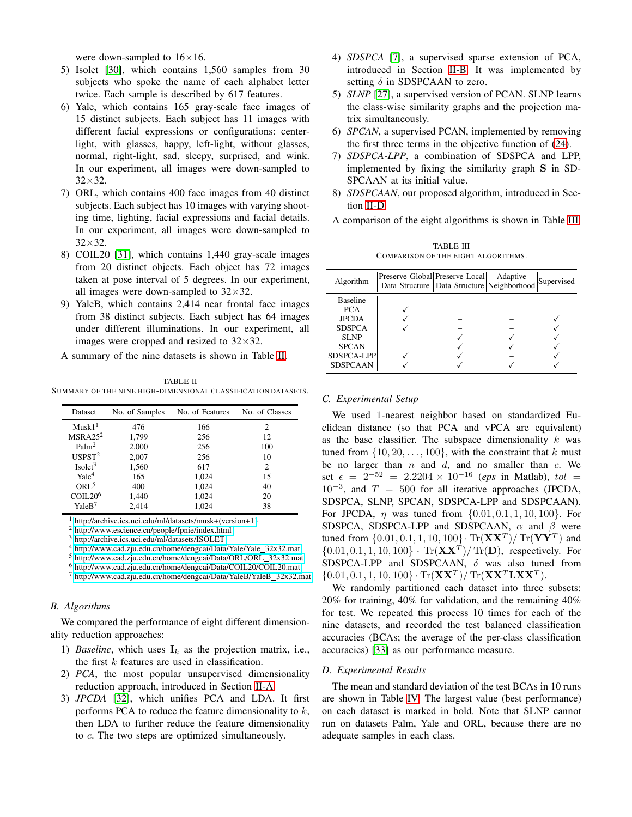were down-sampled to  $16\times16$ .

- 5) Isolet [\[30\]](#page-7-27), which contains 1,560 samples from 30 subjects who spoke the name of each alphabet letter twice. Each sample is described by 617 features.
- 6) Yale, which contains 165 gray-scale face images of 15 distinct subjects. Each subject has 11 images with different facial expressions or configurations: centerlight, with glasses, happy, left-light, without glasses, normal, right-light, sad, sleepy, surprised, and wink. In our experiment, all images were down-sampled to 32×32.
- 7) ORL, which contains 400 face images from 40 distinct subjects. Each subject has 10 images with varying shooting time, lighting, facial expressions and facial details. In our experiment, all images were down-sampled to 32×32.
- 8) COIL20 [\[31\]](#page-7-28), which contains 1,440 gray-scale images from 20 distinct objects. Each object has 72 images taken at pose interval of 5 degrees. In our experiment, all images were down-sampled to  $32\times32$ .
- 9) YaleB, which contains 2,414 near frontal face images from 38 distinct subjects. Each subject has 64 images under different illuminations. In our experiment, all images were cropped and resized to  $32 \times 32$ .
- A summary of the nine datasets is shown in Table [II.](#page-5-0)

<span id="page-5-0"></span>TABLE II SUMMARY OF THE NINE HIGH-DIMENSIONAL CLASS IFICATION DATASETS.

| Dataset             | No. of Samples | No. of Features | No. of Classes |
|---------------------|----------------|-----------------|----------------|
| Musk1 <sup>1</sup>  | 476            | 166             | 2              |
| MSRA25 <sup>2</sup> | 1,799          | 256             | 12             |
| Palm <sup>2</sup>   | 2,000          | 256             | 100            |
| USPST <sup>2</sup>  | 2,007          | 256             | 10             |
| Isolet <sup>3</sup> | 1,560          | 617             | 2              |
| Yale <sup>4</sup>   | 165            | 1,024           | 15             |
| ORL <sup>5</sup>    | 400            | 1,024           | 40             |
| COLL20 <sup>6</sup> | 1,440          | 1,024           | 20             |
| YaleB <sup>7</sup>  | 2.414          | 1,024           | 38             |

<sup>1</sup> [http://archive.ics.uci.edu/ml/datasets/musk+\(version+1 \)](http://archive.ics.uci.edu/ml/datasets/musk+(version+1)

<sup>2</sup> <http://www.escience.cn/people/fpnie/index.html>

<http://archive.ics.uci.edu/ml/datasets/ISOLET>

<sup>4</sup> [http://www.cad.zju.edu.cn/home/dengcai/Data/Yale/Yale](http://www.cad.zju.edu.cn/home/dengcai/Data/Yale/Yale_32x32.mat) 32x32.mat

<sup>5</sup> [http://www.cad.zju.edu.cn/home/dengcai/Data/ORL/ORL](http://www.cad.zju.edu.cn/home/dengcai/Data/ORL/ORL_32x32.mat) 32x32.mat

<sup>6</sup> <http://www.cad.zju.edu.cn/home/dengcai/Data/COIL20/COIL20.mat>

<sup>7</sup> [http://www.cad.zju.edu.cn/home/dengcai/Data/YaleB/YaleB](http://www.cad.zju.edu.cn/home/dengcai/Data/YaleB/YaleB_32x32.mat) 32x32.mat

# *B. Algorithms*

We compared the performance of eight different dimensionality reduction approaches:

- 1) *Baseline*, which uses  $I_k$  as the projection matrix, i.e., the first  $k$  features are used in classification.
- 2) *PCA*, the most popular unsupervised dimensionality reduction approach, introduced in Section [II-A.](#page-1-1)
- 3) *JPCDA* [\[32\]](#page-7-29), which unifies PCA and LDA. It first performs PCA to reduce the feature dimensionality to  $k$ , then LDA to further reduce the feature dimensionality to c. The two steps are optimized simultaneously.
- 4) *SDSPCA* [\[7\]](#page-7-4), a supervised sparse extension of PCA, introduced in Section [II-B.](#page-2-9) It was implemented by setting  $\delta$  in SDSPCAAN to zero.
- 5) *SLNP* [\[27\]](#page-7-24), a supervised version of PCAN. SLNP learns the class-wise similarity graphs and the projection matrix simultaneously.
- 6) *SPCAN*, a supervised PCAN, implemented by removing the first three terms in the objective function of [\(24\)](#page-4-0).
- 7) *SDSPCA-LPP*, a combination of SDSPCA and LPP, implemented by fixing the similarity graph S in SD-SPCAAN at its initial value.
- 8) *SDSPCAAN*, our proposed algorithm, introduced in Section [II-D.](#page-4-3)
- A comparison of the eight algorithms is shown in Table [III.](#page-5-1)

TABLE III COMPARISON OF THE EIGHT ALGORITHMS.

<span id="page-5-1"></span>

| Algorithm       | Preserve Global Preserve Local<br>Data Structure   Data Structure   Neighborhood | Adaptive | Supervised |
|-----------------|----------------------------------------------------------------------------------|----------|------------|
| <b>Baseline</b> |                                                                                  |          |            |
| <b>PCA</b>      |                                                                                  |          |            |
| <b>JPCDA</b>    |                                                                                  |          |            |
| <b>SDSPCA</b>   |                                                                                  |          |            |
| <b>SLNP</b>     |                                                                                  |          |            |
| <b>SPCAN</b>    |                                                                                  |          |            |
| SDSPCA-LPP      |                                                                                  |          |            |
| <b>SDSPCAAN</b> |                                                                                  |          |            |

#### *C. Experimental Setup*

We used 1-nearest neighbor based on standardized Euclidean distance (so that PCA and vPCA are equivalent) as the base classifier. The subspace dimensionality  $k$  was tuned from  $\{10, 20, \ldots, 100\}$ , with the constraint that k must be no larger than  $n$  and  $d$ , and no smaller than  $c$ . We set  $\epsilon = 2^{-52} = 2.2204 \times 10^{-16}$  (*eps* in Matlab), tol =  $10^{-3}$ , and  $T = 500$  for all iterative approaches (JPCDA, SDSPCA, SLNP, SPCAN, SDSPCA-LPP and SDSPCAAN). For JPCDA,  $\eta$  was tuned from  $\{0.01, 0.1, 1, 10, 100\}$ . For SDSPCA, SDSPCA-LPP and SDSPCAAN,  $\alpha$  and  $\beta$  were tuned from  $\{0.01, 0.1, 1, 10, 100\} \cdot Tr(XX^T) / Tr(YY^T)$  and  ${0.01, 0.1, 1, 10, 100} \cdot Tr(XX^T) / Tr(D)$ , respectively. For SDSPCA-LPP and SDSPCAAN,  $\delta$  was also tuned from  ${0.01, 0.1, 1, 10, 100} \cdot Tr(XX^T) / Tr(XX^T LXX^T).$ 

We randomly partitioned each dataset into three subsets: 20% for training, 40% for validation, and the remaining 40% for test. We repeated this process 10 times for each of the nine datasets, and recorded the test balanced classification accuracies (BCAs; the average of the per-class classification accuracies) [\[33\]](#page-7-30) as our performance measure.

# *D. Experimental Results*

The mean and standard deviation of the test BCAs in 10 runs are shown in Table [IV.](#page-6-2) The largest value (best performance) on each dataset is marked in bold. Note that SLNP cannot run on datasets Palm, Yale and ORL, because there are no adequate samples in each class.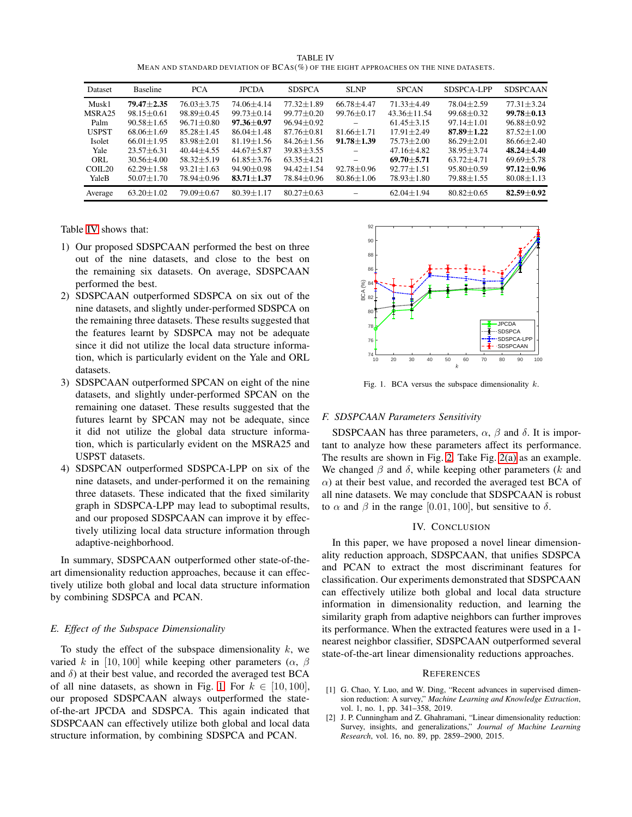TABLE IV MEAN AND STANDARD DEVIATION OF BCAS(%) OF THE EIGHT APPROACHES ON THE NINE DATASETS.

<span id="page-6-2"></span>

| Dataset            | <b>Baseline</b>  | <b>PCA</b>       | <b>JPCDA</b>     | <b>SDSPCA</b>    | <b>SLNP</b>      | <b>SPCAN</b>      | SDSPCA-LPP       | <b>SDSPCAAN</b>  |
|--------------------|------------------|------------------|------------------|------------------|------------------|-------------------|------------------|------------------|
| Musk1              | $79.47 + 2.35$   | $76.03 + 3.75$   | 74.06±4.14       | $77.32 \pm 1.89$ | $66.78 \pm 4.47$ | $71.33 + 4.49$    | $78.04 + 2.59$   | $77.31 + 3.24$   |
| MSRA25             | $98.15 + 0.61$   | $98.89 \pm 0.45$ | $99.73 \pm 0.14$ | $99.77 \pm 0.20$ | $99.76 \pm 0.17$ | $43.36 \pm 11.54$ | $99.68 \pm 0.32$ | $99.78 \pm 0.13$ |
| Palm               | $90.58 + 1.65$   | $96.71 + 0.80$   | $97.36 \pm 0.97$ | $96.94 \pm 0.92$ |                  | $61.45 + 3.15$    | $97.14 + 1.01$   | $96.88 \pm 0.92$ |
| <b>USPST</b>       | $68.06 + 1.69$   | $85.28 + 1.45$   | $86.04 + 1.48$   | $87.76 \pm 0.81$ | $81.66 \pm 1.71$ | $17.91 + 2.49$    | $87.89 + 1.22$   | $87.52 + 1.00$   |
| Isolet             | $66.01 + 1.95$   | $83.98 + 2.01$   | $81.19 + 1.56$   | $84.26 \pm 1.56$ | $91.78 + 1.39$   | $75.73 + 2.00$    | $86.29 + 2.01$   | $86.66 + 2.40$   |
| Yale               | $23.57 + 6.31$   | $40.44 + 4.55$   | $44.67 + 5.87$   | $39.83 + 3.55$   |                  | $47.16 + 4.82$    | $38.95 + 3.74$   | $48.24 + 4.40$   |
| ORL                | $30.56 + 4.00$   | $58.32 \pm 5.19$ | $61.85 + 3.76$   | $63.35 + 4.21$   |                  | $69.70 + 5.71$    | $63.72 + 4.71$   | $69.69 + 5.78$   |
| COIL <sub>20</sub> | $62.29 + 1.58$   | $93.21 + 1.63$   | $94.90 + 0.98$   | $94.42 + 1.54$   | $92.78 \pm 0.96$ | $92.77 + 1.51$    | $95.80 + 0.59$   | $97.12 + 0.96$   |
| YaleB              | $50.07 + 1.70$   | $78.94 + 0.96$   | $83.71 + 1.37$   | 78.84±0.96       | $80.86 \pm 1.06$ | $78.93 + 1.80$    | $79.88 + 1.55$   | $80.08 + 1.13$   |
| Average            | $63.20 \pm 1.02$ | 79.09 ± 0.67     | $80.39 \pm 1.17$ | $80.27 + 0.63$   |                  | $62.04 + 1.94$    | $80.82 + 0.65$   | $82.59 + 0.92$   |

Table [IV](#page-6-2) shows that:

- 1) Our proposed SDSPCAAN performed the best on three out of the nine datasets, and close to the best on the remaining six datasets. On average, SDSPCAAN performed the best.
- 2) SDSPCAAN outperformed SDSPCA on six out of the nine datasets, and slightly under-performed SDSPCA on the remaining three datasets. These results suggested that the features learnt by SDSPCA may not be adequate since it did not utilize the local data structure information, which is particularly evident on the Yale and ORL datasets.
- 3) SDSPCAAN outperformed SPCAN on eight of the nine datasets, and slightly under-performed SPCAN on the remaining one dataset. These results suggested that the futures learnt by SPCAN may not be adequate, since it did not utilize the global data structure information, which is particularly evident on the MSRA25 and USPST datasets.
- 4) SDSPCAN outperformed SDSPCA-LPP on six of the nine datasets, and under-performed it on the remaining three datasets. These indicated that the fixed similarity graph in SDSPCA-LPP may lead to suboptimal results, and our proposed SDSPCAAN can improve it by effectively utilizing local data structure information through adaptive-neighborhood.

In summary, SDSPCAAN outperformed other state-of-theart dimensionality reduction approaches, because it can effectively utilize both global and local data structure information by combining SDSPCA and PCAN.

# *E. Effect of the Subspace Dimensionality*

To study the effect of the subspace dimensionality  $k$ , we varied k in [10, 100] while keeping other parameters ( $\alpha$ ,  $\beta$ and  $\delta$ ) at their best value, and recorded the averaged test BCA of all nine datasets, as shown in Fig. [1.](#page-6-3) For  $k \in [10, 100]$ , our proposed SDSPCAAN always outperformed the stateof-the-art JPCDA and SDSPCA. This again indicated that SDSPCAAN can effectively utilize both global and local data structure information, by combining SDSPCA and PCAN.



<span id="page-6-3"></span>Fig. 1. BCA versus the subspace dimensionality  $k$ .

#### *F. SDSPCAAN Parameters Sensitivity*

SDSPCAAN has three parameters,  $\alpha$ ,  $\beta$  and  $\delta$ . It is important to analyze how these parameters affect its performance. The results are shown in Fig. [2.](#page-7-31) Take Fig. [2\(a\)](#page-7-32) as an example. We changed  $\beta$  and  $\delta$ , while keeping other parameters (k and  $\alpha$ ) at their best value, and recorded the averaged test BCA of all nine datasets. We may conclude that SDSPCAAN is robust to  $\alpha$  and  $\beta$  in the range [0.01, 100], but sensitive to  $\delta$ .

# IV. CONCLUSION

In this paper, we have proposed a novel linear dimensionality reduction approach, SDSPCAAN, that unifies SDSPCA and PCAN to extract the most discriminant features for classification. Our experiments demonstrated that SDSPCAAN can effectively utilize both global and local data structure information in dimensionality reduction, and learning the similarity graph from adaptive neighbors can further improves its performance. When the extracted features were used in a 1 nearest neighbor classifier, SDSPCAAN outperformed several state-of-the-art linear dimensionality reductions approaches.

#### **REFERENCES**

- <span id="page-6-0"></span>[1] G. Chao, Y. Luo, and W. Ding, "Recent advances in supervised dimension reduction: A survey," *Machine Learning and Knowledge Extraction*, vol. 1, no. 1, pp. 341–358, 2019.
- <span id="page-6-1"></span>[2] J. P. Cunningham and Z. Ghahramani, "Linear dimensionality reduction: Survey, insights, and generalizations," *Journal of Machine Learning Research*, vol. 16, no. 89, pp. 2859–2900, 2015.